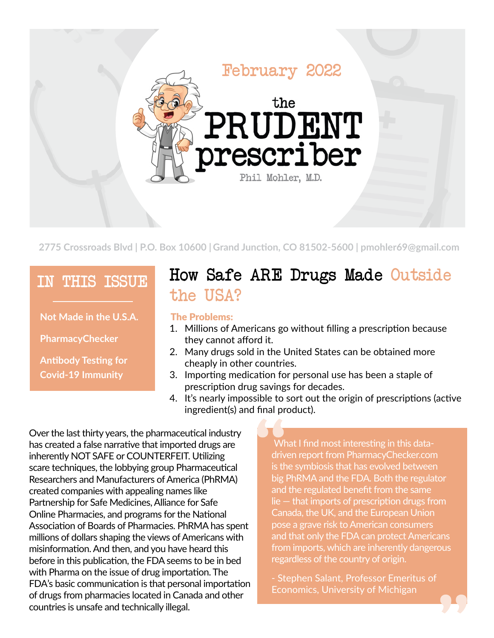

**2775 Crossroads Blvd | P.O. Box 10600 | Grand Junction, CO 81502-5600 | pmohler69@gmail.com**

### IN THIS ISSUE

**Not Made in the U.S.A.**

**PharmacyChecker**

**Antibody Testing for Covid-19 Immunity**

## How Safe ARE Drugs Made Outside the USA?

#### The Problems:

- 1. Millions of Americans go without filling a prescription because they cannot afford it.
- 2. Many drugs sold in the United States can be obtained more cheaply in other countries.
- 3. Importing medication for personal use has been a staple of prescription drug savings for decades.
- 4. It's nearly impossible to sort out the origin of prescriptions (active ingredient(s) and final product).

Over the last thirty years, the pharmaceutical industry has created a false narrative that imported drugs are inherently NOT SAFE or COUNTERFEIT. Utilizing scare techniques, the lobbying group Pharmaceutical Researchers and Manufacturers of America (PhRMA) created companies with appealing names like Partnership for Safe Medicines, Alliance for Safe Online Pharmacies, and programs for the National Association of Boards of Pharmacies. PhRMAhas spent millions of dollars shaping the views of Americans with misinformation.And then, and you have heard this before in this publication, the FDA seems to be in bed with Pharma on the issue of drug importation. The FDA's basic communication is that personal importation of drugs from pharmacies located in Canada and other countries is unsafe and technically illegal.

What I find most interesting in this datadriven report from PharmacyChecker.com is the symbiosis that has evolved between big PhRMA and the FDA. Both the regulator and the regulated benefit from the same lie — that imports of prescription drugs from Canada, the UK, and the European Union pose a grave risk to American consumers and that only the FDA can protect Americans from imports, which are inherently dangerous regardless of the country of origin.

- Stephen Salant, Professor Emeritus of Economics, University of Michigan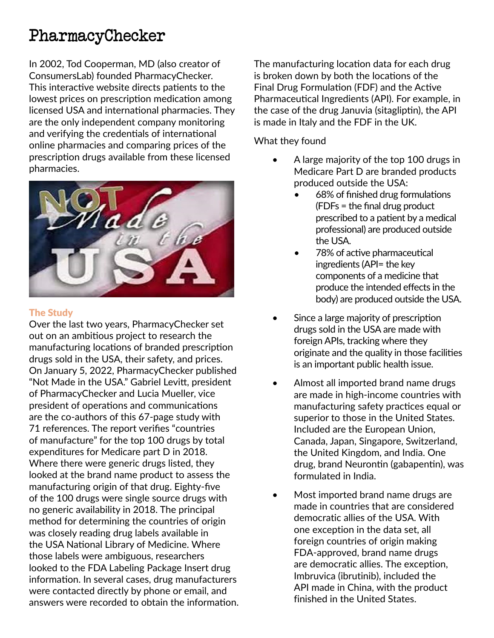## PharmacyChecker

In 2002, Tod Cooperman, MD (also creator of ConsumersLab) founded PharmacyChecker. This interactive website directs patients to the lowest prices on prescription medication among licensed USA and international pharmacies. They are the only independent company monitoring and verifying the credentials of international online pharmacies and comparing prices of the prescription drugs available from these licensed pharmacies.



#### The Study

Over the last two years, PharmacyChecker set out on an ambitious project to research the manufacturing locations of branded prescription drugs sold in the USA, their safety, and prices. On January 5, 2022, PharmacyChecker published "Not Made in the USA." Gabriel Levitt, president of PharmacyChecker and Lucia Mueller, vice president of operations and communications are the co-authors of this 67-page study with 71 references. The report verifies "countries of manufacture" for the top 100 drugs by total expenditures for Medicare part D in 2018. Where there were generic drugs listed, they looked at the brand name product to assess the manufacturing origin of that drug. Eighty-five of the 100 drugs were single source drugs with no generic availability in 2018. The principal method for determining the countries of origin was closely reading drug labels available in the USA National Library of Medicine. Where those labels were ambiguous, researchers looked to the FDA Labeling Package Insert drug information. In several cases, drug manufacturers were contacted directly by phone or email, and answers were recorded to obtain the information. The manufacturing location data for each drug is broken down by both the locations of the Final Drug Formulation (FDF) and the Active Pharmaceutical Ingredients (API). For example, in the case of the drug Januvia (sitagliptin), the API is made in Italy and the FDF in the UK.

#### What they found

- A large majority of the top 100 drugs in Medicare Part D are branded products produced outside the USA:
	- 68% of finished drug formulations (FDFs = the final drug product prescribed to a patient by a medical professional) are produced outside the USA.
	- 78% of active pharmaceutical ingredients (API= the key components of a medicine that produce the intended effects in the body) are produced outside the USA.
- Since a large majority of prescription drugs sold in the USA are made with foreign APIs, tracking where they originate and the quality in those facilities is an important public health issue.
- Almost all imported brand name drugs are made in high-income countries with manufacturing safety practices equal or superior to those in the United States. Included are the European Union, Canada, Japan, Singapore, Switzerland, the United Kingdom, and India. One drug, brand Neurontin (gabapentin), was formulated in India.
- Most imported brand name drugs are made in countries that are considered democratic allies of the USA. With one exception in the data set, all foreign countries of origin making FDA-approved, brand name drugs are democratic allies. The exception, Imbruvica (ibrutinib), included the API made in China, with the product finished in the United States.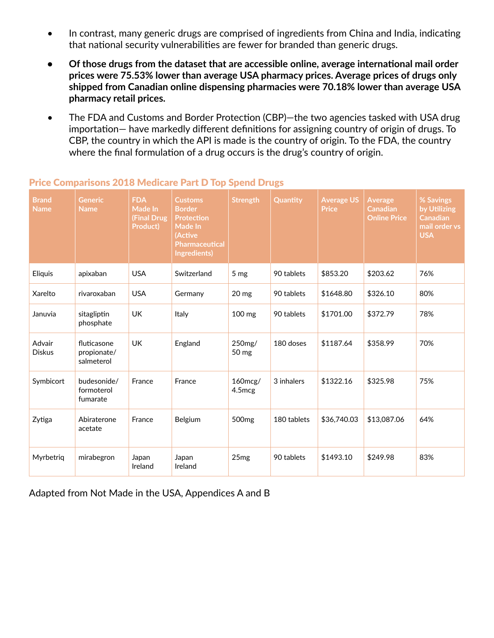- In contrast, many generic drugs are comprised of ingredients from China and India, indicating that national security vulnerabilities are fewer for branded than generic drugs.
- **• Of those drugs from the dataset that are accessible online, average international mail order prices were 75.53% lower than average USA pharmacy prices. Average prices of drugs only shipped from Canadian online dispensing pharmacies were 70.18% lower than average USA pharmacy retail prices.**
- The FDA and Customs and Border Protection (CBP)—the two agencies tasked with USA drug importation— have markedly different definitions for assigning country of origin of drugs. To CBP, the country in which the API is made is the country of origin. To the FDA, the country where the final formulation of a drug occurs is the drug's country of origin.

| <b>Brand</b><br><b>Name</b> | <b>Generic</b><br><b>Name</b>            | <b>FDA</b><br>Made In<br><b>(Final Drug</b><br>Product) | <b>Customs</b><br><b>Border</b><br><b>Protection</b><br>Made In<br>(Active<br>Pharmaceutical<br>Ingredients) | <b>Strength</b>   | Quantity    | <b>Average US</b><br><b>Price</b> | <b>Average</b><br><b>Canadian</b><br><b>Online Price</b> | % Savings<br>by Utilizing<br><b>Canadian</b><br>mail order vs<br><b>USA</b> |
|-----------------------------|------------------------------------------|---------------------------------------------------------|--------------------------------------------------------------------------------------------------------------|-------------------|-------------|-----------------------------------|----------------------------------------------------------|-----------------------------------------------------------------------------|
| Eliquis                     | apixaban                                 | <b>USA</b>                                              | Switzerland                                                                                                  | 5 <sub>mg</sub>   | 90 tablets  | \$853.20                          | \$203.62                                                 | 76%                                                                         |
| Xarelto                     | rivaroxaban                              | <b>USA</b>                                              | Germany                                                                                                      | 20 mg             | 90 tablets  | \$1648.80                         | \$326.10                                                 | 80%                                                                         |
| Januvia                     | sitagliptin<br>phosphate                 | <b>UK</b>                                               | Italy                                                                                                        | 100 mg            | 90 tablets  | \$1701.00                         | \$372.79                                                 | 78%                                                                         |
| Advair<br><b>Diskus</b>     | fluticasone<br>propionate/<br>salmeterol | <b>UK</b>                                               | England                                                                                                      | 250mg/<br>50 mg   | 180 doses   | \$1187.64                         | \$358.99                                                 | 70%                                                                         |
| Symbicort                   | budesonide/<br>formoterol<br>fumarate    | France                                                  | France                                                                                                       | 160mcg/<br>4.5mcg | 3 inhalers  | \$1322.16                         | \$325.98                                                 | 75%                                                                         |
| Zytiga                      | Abiraterone<br>acetate                   | France                                                  | Belgium                                                                                                      | 500 <sub>mg</sub> | 180 tablets | \$36,740.03                       | \$13,087.06                                              | 64%                                                                         |
| Myrbetriq                   | mirabegron                               | Japan<br>Ireland                                        | Japan<br>Ireland                                                                                             | 25mg              | 90 tablets  | \$1493.10                         | \$249.98                                                 | 83%                                                                         |

#### Price Comparisons 2018 Medicare Part D Top Spend Drugs

Adapted from Not Made in the USA, Appendices A and B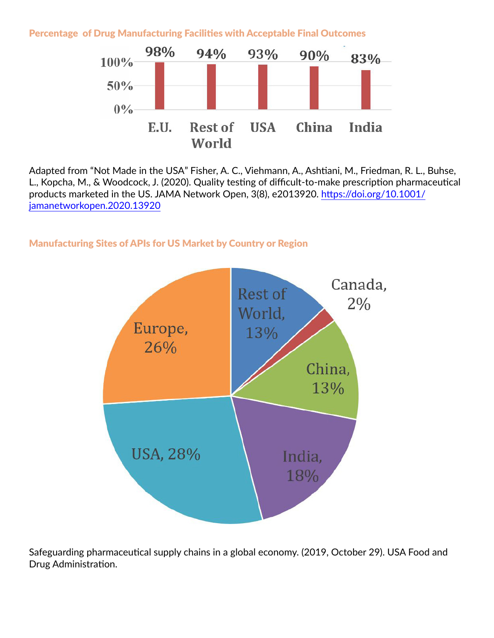Percentage of Drug Manufacturing Facilities with Acceptable Final Outcomes



Adapted from "Not Made in the USA" Fisher, A. C., Viehmann, A., Ashtiani, M., Friedman, R. L., Buhse, L., Kopcha, M., & Woodcock, J. (2020). Quality testing of difficult-to-make prescription pharmaceutical products marketed in the US. JAMA Network Open, 3(8), e2013920. [https://doi.org/10.1001/](https://doi.org/10.1001/jamanetworkopen.2020.13920) [jamanetworkopen.2020.13920](https://doi.org/10.1001/jamanetworkopen.2020.13920)

#### Manufacturing Sites of APIs for US Market by Country or Region



Safeguarding pharmaceutical supply chains in a global economy. (2019, October 29). USA Food and Drug Administration.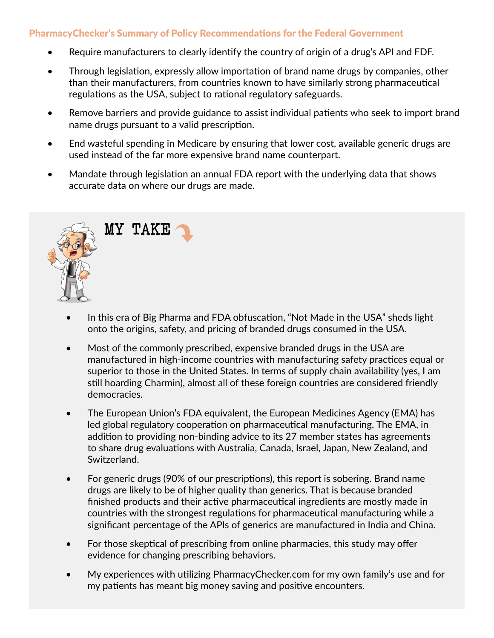#### PharmacyChecker's Summary of Policy Recommendations for the Federal Government

- Require manufacturers to clearly identify the country of origin of a drug's API and FDF.
- Through legislation, expressly allow importation of brand name drugs by companies, other than their manufacturers, from countries known to have similarly strong pharmaceutical regulations as the USA, subject to rational regulatory safeguards.
- Remove barriers and provide guidance to assist individual patients who seek to import brand name drugs pursuant to a valid prescription.
- End wasteful spending in Medicare by ensuring that lower cost, available generic drugs are used instead of the far more expensive brand name counterpart.
- Mandate through legislation an annual FDA report with the underlying data that shows accurate data on where our drugs are made.



- In this era of Big Pharma and FDA obfuscation, "Not Made in the USA" sheds light onto the origins, safety, and pricing of branded drugs consumed in the USA.
- Most of the commonly prescribed, expensive branded drugs in the USA are manufactured in high-income countries with manufacturing safety practices equal or superior to those in the United States. In terms of supply chain availability (yes, I am still hoarding Charmin), almost all of these foreign countries are considered friendly democracies.
- The European Union's FDA equivalent, the European Medicines Agency (EMA) has led global regulatory cooperation on pharmaceutical manufacturing. The EMA, in addition to providing non-binding advice to its 27 member states has agreements to share drug evaluations with Australia, Canada, Israel, Japan, New Zealand, and Switzerland.
- For generic drugs (90% of our prescriptions), this report is sobering. Brand name drugs are likely to be of higher quality than generics. That is because branded finished products and their active pharmaceutical ingredients are mostly made in countries with the strongest regulations for pharmaceutical manufacturing while a significant percentage of the APIs of generics are manufactured in India and China.
- For those skeptical of prescribing from online pharmacies, this study may offer evidence for changing prescribing behaviors.
- My experiences with utilizing PharmacyChecker.com for my own family's use and for my patients has meant big money saving and positive encounters.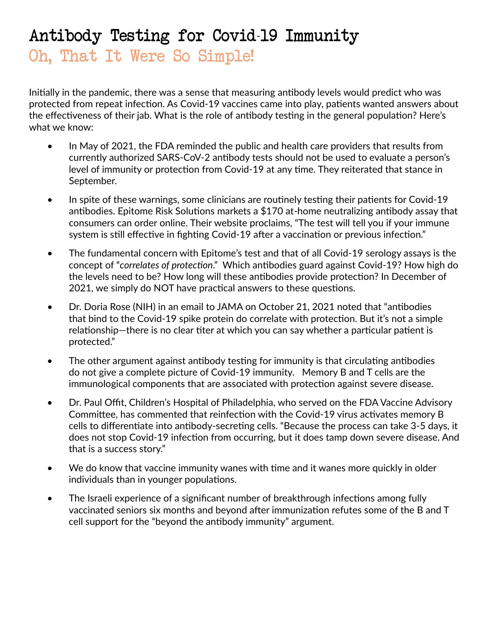# Antibody Testing for Covid-19 Immunity Oh, That It Were So Simple!

Initially in the pandemic, there was a sense that measuring antibody levels would predict who was protected from repeat infection. As Covid-19 vaccines came into play, patients wanted answers about the effectiveness of their jab. What is the role of antibody testing in the general population? Here's what we know:

- In May of 2021, the FDA reminded the public and health care providers that results from currently authorized SARS-CoV-2 antibody tests should not be used to evaluate a person's level of immunity or protection from Covid-19 at any time. They reiterated that stance in September.
- In spite of these warnings, some clinicians are routinely testing their patients for Covid-19 antibodies. Epitome Risk Solutions markets a \$170 at-home neutralizing antibody assay that consumers can order online. Their website proclaims, "The test will tell you if your immune system is still effective in fighting Covid-19 after a vaccination or previous infection."
- The fundamental concern with Epitome's test and that of all Covid-19 serology assays is the concept of "*correlates of protection*." Which antibodies guard against Covid-19? How high do the levels need to be? How long will these antibodies provide protection? In December of 2021, we simply do NOT have practical answers to these questions.
- Dr. Doria Rose (NIH) in an email to JAMA on October 21, 2021 noted that "antibodies that bind to the Covid-19 spike protein do correlate with protection. But it's not a simple relationship—there is no clear titer at which you can say whether a particular patient is protected."
- The other argument against antibody testing for immunity is that circulating antibodies do not give a complete picture of Covid-19 immunity. Memory B and T cells are the immunological components that are associated with protection against severe disease.
- Dr. Paul Offit, Children's Hospital of Philadelphia, who served on the FDA Vaccine Advisory Committee, has commented that reinfection with the Covid-19 virus activates memory B cells to differentiate into antibody-secreting cells. "Because the process can take 3-5 days, it does not stop Covid-19 infection from occurring, but it does tamp down severe disease. And that is a success story."
- We do know that vaccine immunity wanes with time and it wanes more quickly in older individuals than in younger populations.
- The Israeli experience of a significant number of breakthrough infections among fully vaccinated seniors six months and beyond after immunization refutes some of the B and T cell support for the "beyond the antibody immunity" argument.